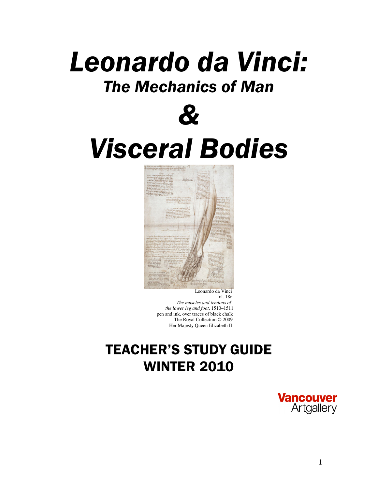# Leonardo da Vinci: The Mechanics of Man



# Visceral Bodies



 Leonardo da Vinci fol. 18r *The muscles and tendons of the lower leg and foot*, 1510–1511 pen and ink, over traces of black chalk The Royal Collection © 2009 Her Majesty Queen Elizabeth II

## TEACHER'S STUDY GUIDE WINTER 2010

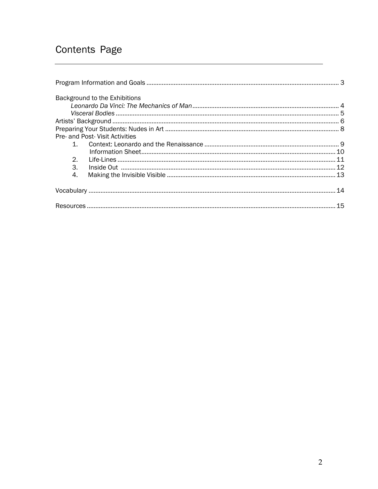## Contents Page

|    | Background to the Exhibitions   |  |
|----|---------------------------------|--|
|    |                                 |  |
|    |                                 |  |
|    |                                 |  |
|    |                                 |  |
|    | Pre- and Post- Visit Activities |  |
|    |                                 |  |
|    |                                 |  |
| 2. |                                 |  |
| 3. |                                 |  |
| 4. |                                 |  |
|    |                                 |  |
|    |                                 |  |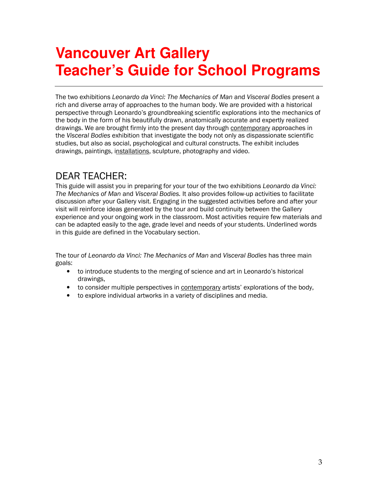## **Vancouver Art Gallery Teacher's Guide for School Programs**

The two exhibitions Leonardo da Vinci: The Mechanics of Man and Visceral Bodies present a rich and diverse array of approaches to the human body. We are provided with a historical perspective through Leonardo's groundbreaking scientific explorations into the mechanics of the body in the form of his beautifully drawn, anatomically accurate and expertly realized drawings. We are brought firmly into the present day through contemporary approaches in the Visceral Bodies exhibition that investigate the body not only as dispassionate scientific studies, but also as social, psychological and cultural constructs. The exhibit includes drawings, paintings, installations, sculpture, photography and video.

## DEAR TEACHER:

This guide will assist you in preparing for your tour of the two exhibitions Leonardo da Vinci: The Mechanics of Man and Visceral Bodies. It also provides follow-up activities to facilitate discussion after your Gallery visit. Engaging in the suggested activities before and after your visit will reinforce ideas generated by the tour and build continuity between the Gallery experience and your ongoing work in the classroom. Most activities require few materials and can be adapted easily to the age, grade level and needs of your students. Underlined words in this guide are defined in the Vocabulary section.

The tour of Leonardo da Vinci: The Mechanics of Man and Visceral Bodies has three main goals:

- to introduce students to the merging of science and art in Leonardo's historical drawings,
- to consider multiple perspectives in contemporary artists' explorations of the body,
- to explore individual artworks in a variety of disciplines and media.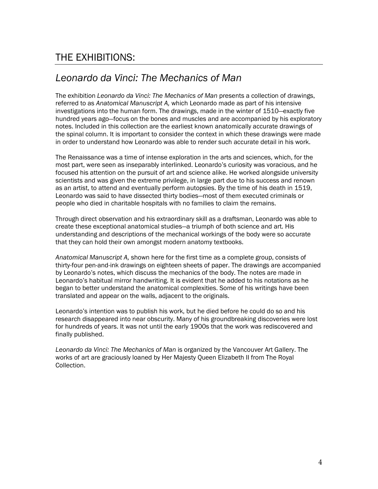## THE EXHIBITIONS:

## Leonardo da Vinci: The Mechanics of Man

The exhibition Leonardo da Vinci: The Mechanics of Man presents a collection of drawings, referred to as Anatomical Manuscript A, which Leonardo made as part of his intensive investigations into the human form. The drawings, made in the winter of 1510—exactly five hundred years ago—focus on the bones and muscles and are accompanied by his exploratory notes. Included in this collection are the earliest known anatomically accurate drawings of the spinal column. It is important to consider the context in which these drawings were made in order to understand how Leonardo was able to render such accurate detail in his work.

The Renaissance was a time of intense exploration in the arts and sciences, which, for the most part, were seen as inseparably interlinked. Leonardo's curiosity was voracious, and he focused his attention on the pursuit of art and science alike. He worked alongside university scientists and was given the extreme privilege, in large part due to his success and renown as an artist, to attend and eventually perform autopsies. By the time of his death in 1519, Leonardo was said to have dissected thirty bodies—most of them executed criminals or people who died in charitable hospitals with no families to claim the remains.

Through direct observation and his extraordinary skill as a draftsman, Leonardo was able to create these exceptional anatomical studies—a triumph of both science and art. His understanding and descriptions of the mechanical workings of the body were so accurate that they can hold their own amongst modern anatomy textbooks.

Anatomical Manuscript A, shown here for the first time as a complete group, consists of thirty-four pen-and-ink drawings on eighteen sheets of paper. The drawings are accompanied by Leonardo's notes, which discuss the mechanics of the body. The notes are made in Leonardo's habitual mirror handwriting. It is evident that he added to his notations as he began to better understand the anatomical complexities. Some of his writings have been translated and appear on the walls, adjacent to the originals.

Leonardo's intention was to publish his work, but he died before he could do so and his research disappeared into near obscurity. Many of his groundbreaking discoveries were lost for hundreds of years. It was not until the early 1900s that the work was rediscovered and finally published.

Leonardo da Vinci: The Mechanics of Man is organized by the Vancouver Art Gallery. The works of art are graciously loaned by Her Majesty Queen Elizabeth II from The Royal Collection.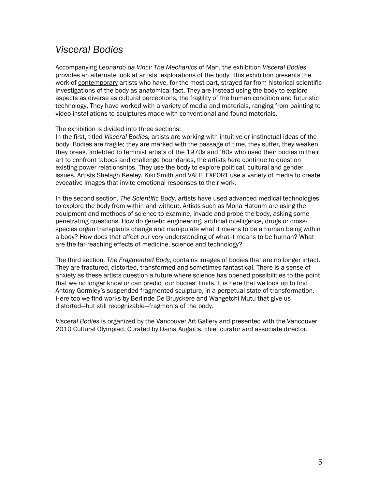### Visceral Bodies

Accompanying Leonardo da Vinci: The Mechanics of Man, the exhibition Visceral Bodies provides an alternate look at artists' explorations of the body. This exhibition presents the work of contemporary artists who have, for the most part, strayed far from historical scientific investigations of the body as anatomical fact. They are instead using the body to explore aspects as diverse as cultural perceptions, the fragility of the human condition and futuristic technology. They have worked with a variety of media and materials, ranging from painting to video installations to sculptures made with conventional and found materials.

#### The exhibition is divided into three sections:

In the first, titled Visceral Bodies, artists are working with intuitive or instinctual ideas of the body. Bodies are fragile; they are marked with the passage of time, they suffer, they weaken, they break. Indebted to feminist artists of the 1970s and '80s who used their bodies in their art to confront taboos and challenge boundaries, the artists here continue to question existing power relationships. They use the body to explore political, cultural and gender issues. Artists Shelagh Keeley, Kiki Smith and VALIE EXPORT use a variety of media to create evocative images that invite emotional responses to their work.

In the second section, The Scientific Body, artists have used advanced medical technologies to explore the body from within and without. Artists such as Mona Hatoum are using the equipment and methods of science to examine, invade and probe the body, asking some penetrating questions. How do genetic engineering, artificial intelligence, drugs or crossspecies organ transplants change and manipulate what it means to be a human being within a body? How does that affect our very understanding of what it means to be human? What are the far-reaching effects of medicine, science and technology?

The third section, The Fragmented Body, contains images of bodies that are no longer intact. They are fractured, distorted, transformed and sometimes fantastical. There is a sense of anxiety as these artists question a future where science has opened possibilities to the point that we no longer know or can predict our bodies' limits. It is here that we look up to find Antony Gormley's suspended fragmented sculpture, in a perpetual state of transformation. Here too we find works by Berlinde De Bruyckere and Wangetchi Mutu that give us distorted—but still recognizable—fragments of the body.

Visceral Bodies is organized by the Vancouver Art Gallery and presented with the Vancouver 2010 Cultural Olympiad. Curated by Daina Augaitis, chief curator and associate director.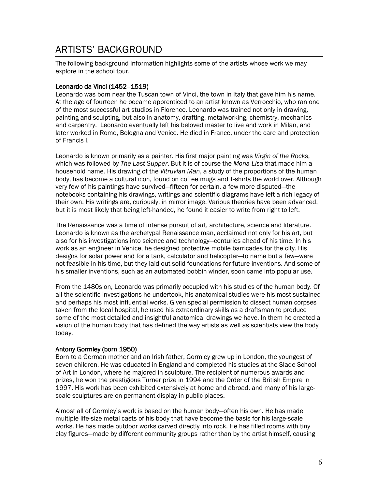## ARTISTS' BACKGROUND

The following background information highlights some of the artists whose work we may explore in the school tour.

#### Leonardo da Vinci (1452-1519)

Leonardo was born near the Tuscan town of Vinci, the town in Italy that gave him his name. At the age of fourteen he became apprenticed to an artist known as Verrocchio, who ran one of the most successful art studios in Florence. Leonardo was trained not only in drawing, painting and sculpting, but also in anatomy, drafting, metalworking, chemistry, mechanics and carpentry. Leonardo eventually left his beloved master to live and work in Milan, and later worked in Rome, Bologna and Venice. He died in France, under the care and protection of Francis I.

Leonardo is known primarily as a painter. His first major painting was Virgin of the Rocks, which was followed by The Last Supper. But it is of course the Mona Lisa that made him a household name. His drawing of the Vitruvian Man, a study of the proportions of the human body, has become a cultural icon, found on coffee mugs and T-shirts the world over. Although very few of his paintings have survived—fifteen for certain, a few more disputed—the notebooks containing his drawings, writings and scientific diagrams have left a rich legacy of their own. His writings are, curiously, in mirror image. Various theories have been advanced, but it is most likely that being left-handed, he found it easier to write from right to left.

The Renaissance was a time of intense pursuit of art, architecture, science and literature. Leonardo is known as the archetypal Renaissance man, acclaimed not only for his art, but also for his investigations into science and technology—centuries ahead of his time. In his work as an engineer in Venice, he designed protective mobile barricades for the city. His designs for solar power and for a tank, calculator and helicopter—to name but a few—were not feasible in his time, but they laid out solid foundations for future inventions. And some of his smaller inventions, such as an automated bobbin winder, soon came into popular use.

From the 1480s on, Leonardo was primarily occupied with his studies of the human body. Of all the scientific investigations he undertook, his anatomical studies were his most sustained and perhaps his most influential works. Given special permission to dissect human corpses taken from the local hospital, he used his extraordinary skills as a draftsman to produce some of the most detailed and insightful anatomical drawings we have. In them he created a vision of the human body that has defined the way artists as well as scientists view the body today.

#### Antony Gormley (born 1950)

Born to a German mother and an Irish father, Gormley grew up in London, the youngest of seven children. He was educated in England and completed his studies at the Slade School of Art in London, where he majored in sculpture. The recipient of numerous awards and prizes, he won the prestigious Turner prize in 1994 and the Order of the British Empire in 1997. His work has been exhibited extensively at home and abroad, and many of his largescale sculptures are on permanent display in public places.

Almost all of Gormley's work is based on the human body—often his own. He has made multiple life-size metal casts of his body that have become the basis for his large-scale works. He has made outdoor works carved directly into rock. He has filled rooms with tiny clay figures—made by different community groups rather than by the artist himself, causing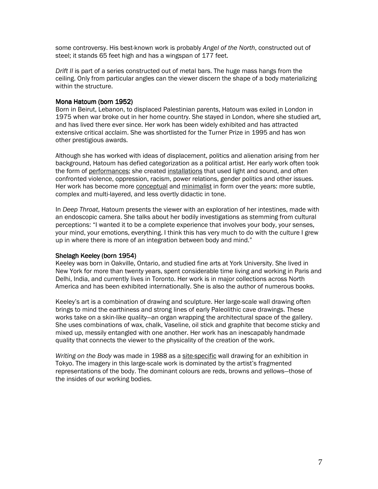some controversy. His best-known work is probably Angel of the North, constructed out of steel; it stands 65 feet high and has a wingspan of 177 feet.

Drift II is part of a series constructed out of metal bars. The huge mass hangs from the ceiling. Only from particular angles can the viewer discern the shape of a body materializing within the structure.

#### Mona Hatoum (born 1952)

Born in Beirut, Lebanon, to displaced Palestinian parents, Hatoum was exiled in London in 1975 when war broke out in her home country. She stayed in London, where she studied art, and has lived there ever since. Her work has been widely exhibited and has attracted extensive critical acclaim. She was shortlisted for the Turner Prize in 1995 and has won other prestigious awards.

Although she has worked with ideas of displacement, politics and alienation arising from her background, Hatoum has defied categorization as a political artist. Her early work often took the form of performances; she created installations that used light and sound, and often confronted violence, oppression, racism, power relations, gender politics and other issues. Her work has become more conceptual and minimalist in form over the years: more subtle, complex and multi-layered, and less overtly didactic in tone.

In Deep Throat, Hatoum presents the viewer with an exploration of her intestines, made with an endoscopic camera. She talks about her bodily investigations as stemming from cultural perceptions: "I wanted it to be a complete experience that involves your body, your senses, your mind, your emotions, everything. I think this has very much to do with the culture I grew up in where there is more of an integration between body and mind."

#### Shelagh Keeley (born 1954)

Keeley was born in Oakville, Ontario, and studied fine arts at York University. She lived in New York for more than twenty years, spent considerable time living and working in Paris and Delhi, India, and currently lives in Toronto. Her work is in major collections across North America and has been exhibited internationally. She is also the author of numerous books.

Keeley's art is a combination of drawing and sculpture. Her large-scale wall drawing often brings to mind the earthiness and strong lines of early Paleolithic cave drawings. These works take on a skin-like quality—an organ wrapping the architectural space of the gallery. She uses combinations of wax, chalk, Vaseline, oil stick and graphite that become sticky and mixed up, messily entangled with one another. Her work has an inescapably handmade quality that connects the viewer to the physicality of the creation of the work.

Writing on the Body was made in 1988 as a site-specific wall drawing for an exhibition in Tokyo. The imagery in this large-scale work is dominated by the artist's fragmented representations of the body. The dominant colours are reds, browns and yellows—those of the insides of our working bodies.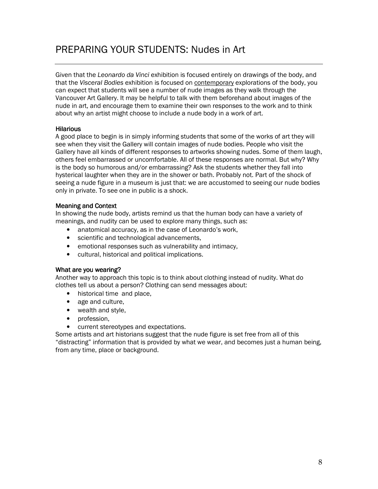## PREPARING YOUR STUDENTS: Nudes in Art

Given that the Leonardo da Vinci exhibition is focused entirely on drawings of the body, and that the Visceral Bodies exhibition is focused on contemporary explorations of the body, you can expect that students will see a number of nude images as they walk through the Vancouver Art Gallery. It may be helpful to talk with them beforehand about images of the nude in art, and encourage them to examine their own responses to the work and to think about why an artist might choose to include a nude body in a work of art.

#### **Hilarious**

A good place to begin is in simply informing students that some of the works of art they will see when they visit the Gallery will contain images of nude bodies. People who visit the Gallery have all kinds of different responses to artworks showing nudes. Some of them laugh, others feel embarrassed or uncomfortable. All of these responses are normal. But why? Why is the body so humorous and/or embarrassing? Ask the students whether they fall into hysterical laughter when they are in the shower or bath. Probably not. Part of the shock of seeing a nude figure in a museum is just that: we are accustomed to seeing our nude bodies only in private. To see one in public is a shock.

#### Meaning and Context

In showing the nude body, artists remind us that the human body can have a variety of meanings, and nudity can be used to explore many things, such as:

- anatomical accuracy, as in the case of Leonardo's work,
- scientific and technological advancements,
- emotional responses such as vulnerability and intimacy,
- cultural, historical and political implications.

#### What are you wearing?

Another way to approach this topic is to think about clothing instead of nudity. What do clothes tell us about a person? Clothing can send messages about:

- historical time and place.
- age and culture,
- wealth and style,
- profession,
- current stereotypes and expectations.

Some artists and art historians suggest that the nude figure is set free from all of this "distracting" information that is provided by what we wear, and becomes just a human being, from any time, place or background.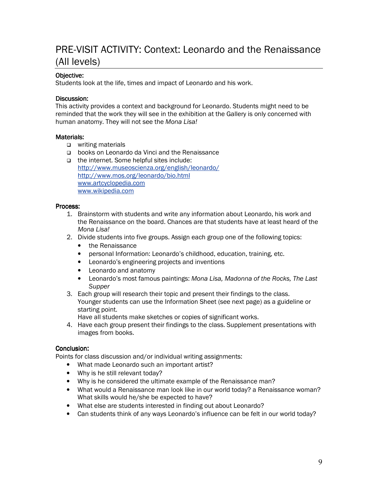## PRE-VISIT ACTIVITY: Context: Leonardo and the Renaissance (All levels)

#### Objective:

Students look at the life, times and impact of Leonardo and his work.

#### Discussion:

This activity provides a context and background for Leonardo. Students might need to be reminded that the work they will see in the exhibition at the Gallery is only concerned with human anatomy. They will not see the Mona Lisa!

#### Materials:

- □ writing materials
- books on Leonardo da Vinci and the Renaissance
- □ the internet. Some helpful sites include: http://www.museoscienza.org/english/leonardo/ http://www.mos.org/leonardo/bio.html www.artcyclopedia.com www.wikipedia.com

#### Process:

- 1. Brainstorm with students and write any information about Leonardo, his work and the Renaissance on the board. Chances are that students have at least heard of the Mona Lisa!
- 2. Divide students into five groups. Assign each group one of the following topics:
	- the Renaissance
	- personal Information: Leonardo's childhood, education, training, etc.
	- Leonardo's engineering projects and inventions
	- Leonardo and anatomy
	- Leonardo's most famous paintings: Mona Lisa, Madonna of the Rocks, The Last **Supper**
- 3. Each group will research their topic and present their findings to the class. Younger students can use the Information Sheet (see next page) as a guideline or starting point.
	- Have all students make sketches or copies of significant works.
- 4. Have each group present their findings to the class. Supplement presentations with images from books.

#### Conclusion:

Points for class discussion and/or individual writing assignments:

- What made Leonardo such an important artist?
- Why is he still relevant today?
- Why is he considered the ultimate example of the Renaissance man?
- What would a Renaissance man look like in our world today? a Renaissance woman? What skills would he/she be expected to have?
- What else are students interested in finding out about Leonardo?
- Can students think of any ways Leonardo's influence can be felt in our world today?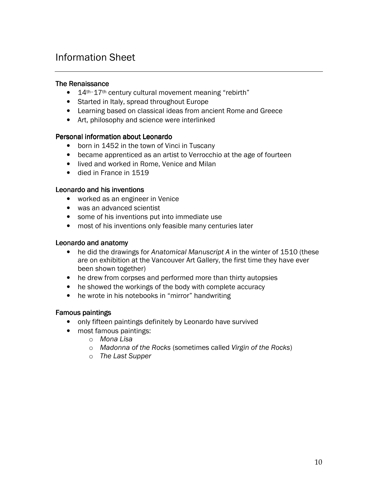## Information Sheet

#### The Renaissance

- 14<sup>th-17th</sup> century cultural movement meaning "rebirth"
- Started in Italy, spread throughout Europe
- Learning based on classical ideas from ancient Rome and Greece
- Art, philosophy and science were interlinked

#### Personal information about Leonardo

- born in 1452 in the town of Vinci in Tuscany
- became apprenticed as an artist to Verrocchio at the age of fourteen
- lived and worked in Rome, Venice and Milan
- died in France in 1519

#### Leonardo and his inventions

- worked as an engineer in Venice
- was an advanced scientist
- some of his inventions put into immediate use
- most of his inventions only feasible many centuries later

#### Leonardo and anatomy

- he did the drawings for Anatomical Manuscript A in the winter of 1510 (these are on exhibition at the Vancouver Art Gallery, the first time they have ever been shown together)
- he drew from corpses and performed more than thirty autopsies
- he showed the workings of the body with complete accuracy
- he wrote in his notebooks in "mirror" handwriting

#### Famous paintings

- only fifteen paintings definitely by Leonardo have survived
- most famous paintings:
	- o Mona Lisa
	- o Madonna of the Rocks (sometimes called Virgin of the Rocks)
	- o The Last Supper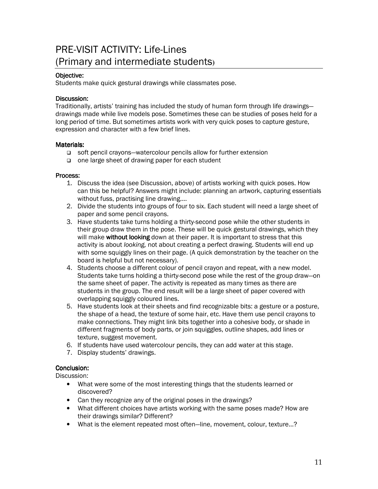## PRE-VISIT ACTIVITY: Life-Lines (Primary and intermediate students**)**

#### Objective:

Students make quick gestural drawings while classmates pose.

#### Discussion:

Traditionally, artists' training has included the study of human form through life drawings drawings made while live models pose. Sometimes these can be studies of poses held for a long period of time. But sometimes artists work with very quick poses to capture gesture, expression and character with a few brief lines.

#### Materials:

- □ soft pencil crayons—watercolour pencils allow for further extension
- one large sheet of drawing paper for each student

#### Process:

- 1. Discuss the idea (see Discussion, above) of artists working with quick poses. How can this be helpful? Answers might include: planning an artwork, capturing essentials without fuss, practising line drawing....
- 2. Divide the students into groups of four to six. Each student will need a large sheet of paper and some pencil crayons.
- 3. Have students take turns holding a thirty-second pose while the other students in their group draw them in the pose. These will be quick gestural drawings, which they will make without looking down at their paper. It is important to stress that this activity is about looking, not about creating a perfect drawing. Students will end up with some squiggly lines on their page. (A quick demonstration by the teacher on the board is helpful but not necessary).
- 4. Students choose a different colour of pencil crayon and repeat, with a new model. Students take turns holding a thirty-second pose while the rest of the group draw—on the same sheet of paper. The activity is repeated as many times as there are students in the group. The end result will be a large sheet of paper covered with overlapping squiggly coloured lines.
- 5. Have students look at their sheets and find recognizable bits: a gesture or a posture, the shape of a head, the texture of some hair, etc. Have them use pencil crayons to make connections. They might link bits together into a cohesive body, or shade in different fragments of body parts, or join squiggles, outline shapes, add lines or texture, suggest movement.
- 6. If students have used watercolour pencils, they can add water at this stage.
- 7. Display students' drawings.

#### Conclusion:

Discussion:

- What were some of the most interesting things that the students learned or discovered?
- Can they recognize any of the original poses in the drawings?
- What different choices have artists working with the same poses made? How are their drawings similar? Different?
- What is the element repeated most often—line, movement, colour, texture…?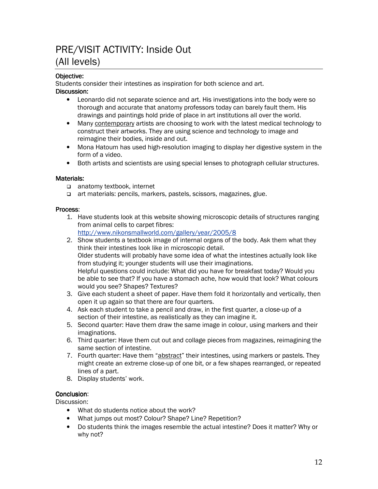## PRE/VISIT ACTIVITY: Inside Out (All levels)

#### Objective:

Students consider their intestines as inspiration for both science and art.

#### Discussion:

- Leonardo did not separate science and art. His investigations into the body were so thorough and accurate that anatomy professors today can barely fault them. His drawings and paintings hold pride of place in art institutions all over the world.
- Many contemporary artists are choosing to work with the latest medical technology to construct their artworks. They are using science and technology to image and reimagine their bodies, inside and out.
- Mona Hatoum has used high-resolution imaging to display her digestive system in the form of a video.
- Both artists and scientists are using special lenses to photograph cellular structures.

#### Materials:

- anatomy textbook, internet
- art materials: pencils, markers, pastels, scissors, magazines, glue.

#### Process:

- 1. Have students look at this website showing microscopic details of structures ranging from animal cells to carpet fibres:
	- http://www.nikonsmallworld.com/gallery/year/2005/8
- 2. Show students a textbook image of internal organs of the body. Ask them what they think their intestines look like in microscopic detail. Older students will probably have some idea of what the intestines actually look like from studying it; younger students will use their imaginations. Helpful questions could include: What did you have for breakfast today? Would you be able to see that? If you have a stomach ache, how would that look? What colours would you see? Shapes? Textures?
- 3. Give each student a sheet of paper. Have them fold it horizontally and vertically, then open it up again so that there are four quarters.
- 4. Ask each student to take a pencil and draw, in the first quarter, a close-up of a section of their intestine, as realistically as they can imagine it.
- 5. Second quarter: Have them draw the same image in colour, using markers and their imaginations.
- 6. Third quarter: Have them cut out and collage pieces from magazines, reimagining the same section of intestine.
- 7. Fourth quarter: Have them "abstract" their intestines, using markers or pastels. They might create an extreme close-up of one bit, or a few shapes rearranged, or repeated lines of a part.
- 8. Display students' work.

#### Conclusion:

Discussion:

- What do students notice about the work?
- What jumps out most? Colour? Shape? Line? Repetition?
- Do students think the images resemble the actual intestine? Does it matter? Why or why not?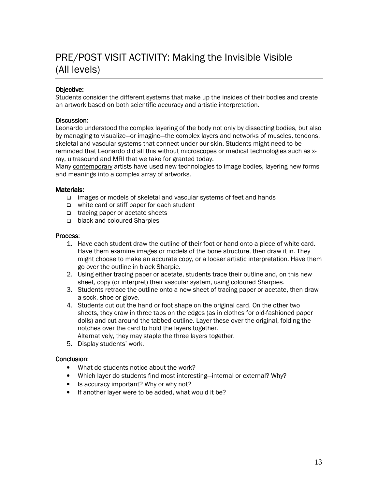## PRE/POST-VISIT ACTIVITY: Making the Invisible Visible (All levels)

#### Objective:

Students consider the different systems that make up the insides of their bodies and create an artwork based on both scientific accuracy and artistic interpretation.

#### Discussion:

Leonardo understood the complex layering of the body not only by dissecting bodies, but also by managing to visualize—or imagine—the complex layers and networks of muscles, tendons, skeletal and vascular systems that connect under our skin. Students might need to be reminded that Leonardo did all this without microscopes or medical technologies such as xray, ultrasound and MRI that we take for granted today.

Many contemporary artists have used new technologies to image bodies, layering new forms and meanings into a complex array of artworks.

#### Materials:

- images or models of skeletal and vascular systems of feet and hands
- $\Box$  white card or stiff paper for each student
- □ tracing paper or acetate sheets
- □ black and coloured Sharpies

#### Process:

- 1. Have each student draw the outline of their foot or hand onto a piece of white card. Have them examine images or models of the bone structure, then draw it in. They might choose to make an accurate copy, or a looser artistic interpretation. Have them go over the outline in black Sharpie.
- 2. Using either tracing paper or acetate, students trace their outline and, on this new sheet, copy (or interpret) their vascular system, using coloured Sharpies.
- 3. Students retrace the outline onto a new sheet of tracing paper or acetate, then draw a sock, shoe or glove.
- 4. Students cut out the hand or foot shape on the original card. On the other two sheets, they draw in three tabs on the edges (as in clothes for old-fashioned paper dolls) and cut around the tabbed outline. Layer these over the original, folding the notches over the card to hold the layers together.
	- Alternatively, they may staple the three layers together.
- 5. Display students' work.

#### Conclusion:

- What do students notice about the work?
- Which layer do students find most interesting—internal or external? Why?
- Is accuracy important? Why or why not?
- If another layer were to be added, what would it be?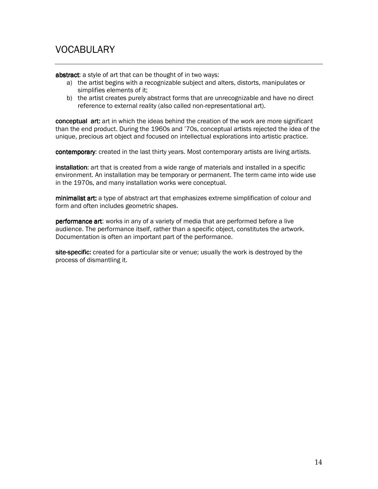## VOCABULARY

abstract: a style of art that can be thought of in two ways:

- a) the artist begins with a recognizable subject and alters, distorts, manipulates or simplifies elements of it;
- b) the artist creates purely abstract forms that are unrecognizable and have no direct reference to external reality (also called non-representational art).

conceptual art: art in which the ideas behind the creation of the work are more significant than the end product. During the 1960s and '70s, conceptual artists rejected the idea of the unique, precious art object and focused on intellectual explorations into artistic practice.

contemporary: created in the last thirty years. Most contemporary artists are living artists.

installation: art that is created from a wide range of materials and installed in a specific environment. An installation may be temporary or permanent. The term came into wide use in the 1970s, and many installation works were conceptual.

minimalist art: a type of abstract art that emphasizes extreme simplification of colour and form and often includes geometric shapes.

performance art: works in any of a variety of media that are performed before a live audience. The performance itself, rather than a specific object, constitutes the artwork. Documentation is often an important part of the performance.

site-specific: created for a particular site or venue; usually the work is destroyed by the process of dismantling it.